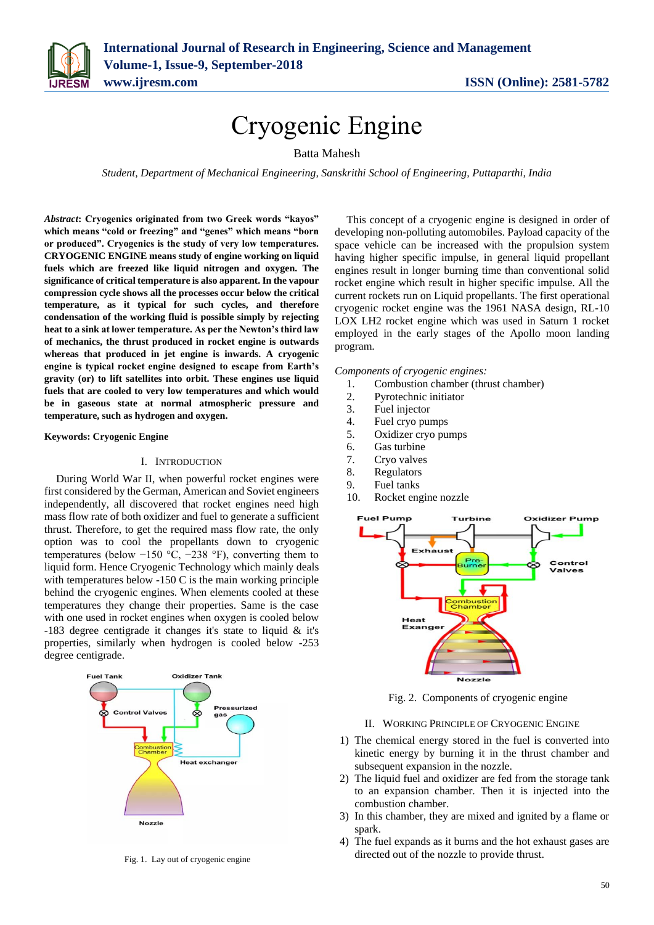

# Cryogenic Engine

Batta Mahesh

*Student, Department of Mechanical Engineering, Sanskrithi School of Engineering, Puttaparthi, India*

*Abstract***: Cryogenics originated from two Greek words "kayos" which means "cold or freezing" and "genes" which means "born or produced". Cryogenics is the study of very low temperatures. CRYOGENIC ENGINE means study of engine working on liquid fuels which are freezed like liquid nitrogen and oxygen. The significance of critical temperature is also apparent. In the vapour compression cycle shows all the processes occur below the critical temperature, as it typical for such cycles, and therefore condensation of the working fluid is possible simply by rejecting heat to a sink at lower temperature. As per the Newton's third law of mechanics, the thrust produced in rocket engine is outwards whereas that produced in jet engine is inwards. A cryogenic engine is typical rocket engine designed to escape from Earth's gravity (or) to lift satellites into orbit. These engines use liquid fuels that are cooled to very low temperatures and which would be in gaseous state at normal atmospheric pressure and temperature, such as hydrogen and oxygen.**

**Keywords: Cryogenic Engine**

## I. INTRODUCTION

During World War II, when powerful rocket engines were first considered by the German, American and Soviet engineers independently, all discovered that rocket engines need high mass flow rate of both oxidizer and fuel to generate a sufficient thrust. Therefore, to get the required mass flow rate, the only option was to cool the propellants down to cryogenic temperatures (below −150 °C, −238 °F), converting them to liquid form. Hence Cryogenic Technology which mainly deals with temperatures below -150 C is the main working principle behind the cryogenic engines. When elements cooled at these temperatures they change their properties. Same is the case with one used in rocket engines when oxygen is cooled below -183 degree centigrade it changes it's state to liquid & it's properties, similarly when hydrogen is cooled below -253 degree centigrade.



Fig. 1. Lay out of cryogenic engine

This concept of a cryogenic engine is designed in order of developing non-polluting automobiles. Payload capacity of the space vehicle can be increased with the propulsion system having higher specific impulse, in general liquid propellant engines result in longer burning time than conventional solid rocket engine which result in higher specific impulse. All the current rockets run on Liquid propellants. The first operational cryogenic rocket engine was the 1961 NASA design, RL-10 LOX LH2 rocket engine which was used in Saturn 1 rocket employed in the early stages of the Apollo moon landing program.

*Components of cryogenic engines:*

- 1. Combustion chamber (thrust chamber)
- 2. Pyrotechnic initiator
- 3. Fuel injector
- 4. Fuel cryo pumps
- 5. Oxidizer cryo pumps
- 6. Gas turbine
- 7. Cryo valves
- 8. Regulators
- 9. Fuel tanks
- 10. Rocket engine nozzle



Fig. 2. Components of cryogenic engine

II. WORKING PRINCIPLE OF CRYOGENIC ENGINE

- 1) The chemical energy stored in the fuel is converted into kinetic energy by burning it in the thrust chamber and subsequent expansion in the nozzle.
- 2) The liquid fuel and oxidizer are fed from the storage tank to an expansion chamber. Then it is injected into the combustion chamber.
- 3) In this chamber, they are mixed and ignited by a flame or spark
- 4) The fuel expands as it burns and the hot exhaust gases are directed out of the nozzle to provide thrust.